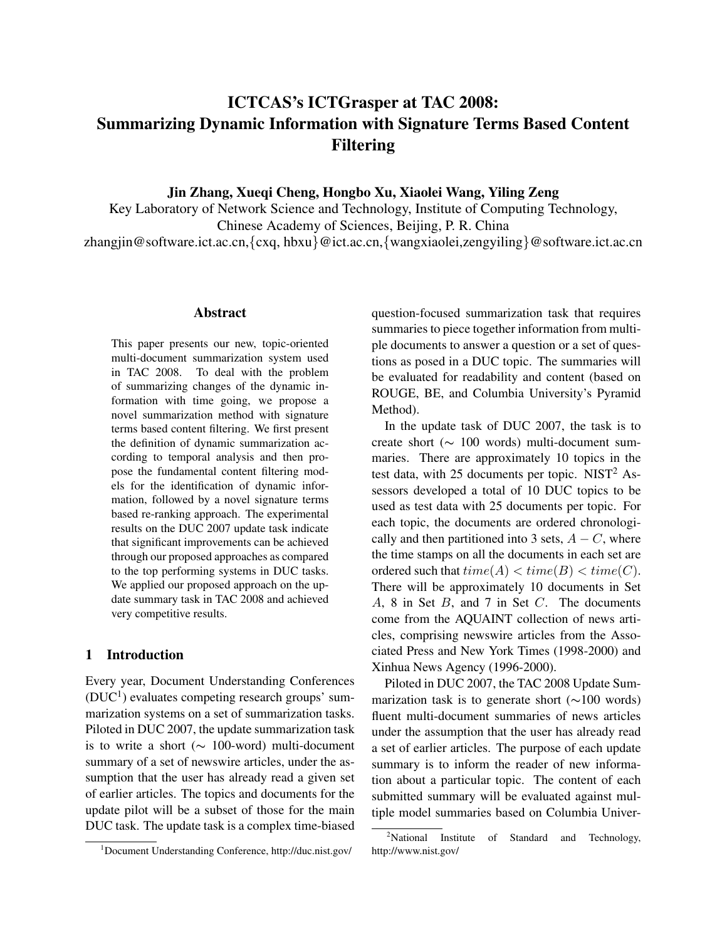# ICTCAS's ICTGrasper at TAC 2008: Summarizing Dynamic Information with Signature Terms Based Content Filtering

Jin Zhang, Xueqi Cheng, Hongbo Xu, Xiaolei Wang, Yiling Zeng

Key Laboratory of Network Science and Technology, Institute of Computing Technology, Chinese Academy of Sciences, Beijing, P. R. China zhangjin@software.ict.ac.cn,{cxq, hbxu}@ict.ac.cn,{wangxiaolei,zengyiling}@software.ict.ac.cn

#### Abstract

This paper presents our new, topic-oriented multi-document summarization system used in TAC 2008. To deal with the problem of summarizing changes of the dynamic information with time going, we propose a novel summarization method with signature terms based content filtering. We first present the definition of dynamic summarization according to temporal analysis and then propose the fundamental content filtering models for the identification of dynamic information, followed by a novel signature terms based re-ranking approach. The experimental results on the DUC 2007 update task indicate that significant improvements can be achieved through our proposed approaches as compared to the top performing systems in DUC tasks. We applied our proposed approach on the update summary task in TAC 2008 and achieved very competitive results.

## 1 Introduction

Every year, Document Understanding Conferences  $(DUC<sup>1</sup>)$  evaluates competing research groups' summarization systems on a set of summarization tasks. Piloted in DUC 2007, the update summarization task is to write a short ( $\sim$  100-word) multi-document summary of a set of newswire articles, under the assumption that the user has already read a given set of earlier articles. The topics and documents for the update pilot will be a subset of those for the main DUC task. The update task is a complex time-biased question-focused summarization task that requires summaries to piece together information from multiple documents to answer a question or a set of questions as posed in a DUC topic. The summaries will be evaluated for readability and content (based on ROUGE, BE, and Columbia University's Pyramid Method).

In the update task of DUC 2007, the task is to create short (∼ 100 words) multi-document summaries. There are approximately 10 topics in the test data, with 25 documents per topic.  $NIST<sup>2</sup> As$ sessors developed a total of 10 DUC topics to be used as test data with 25 documents per topic. For each topic, the documents are ordered chronologically and then partitioned into 3 sets,  $A - C$ , where the time stamps on all the documents in each set are ordered such that  $time(A) < time(B) < time(C)$ . There will be approximately 10 documents in Set A, 8 in Set B, and 7 in Set C. The documents come from the AQUAINT collection of news articles, comprising newswire articles from the Associated Press and New York Times (1998-2000) and Xinhua News Agency (1996-2000).

Piloted in DUC 2007, the TAC 2008 Update Summarization task is to generate short (∼100 words) fluent multi-document summaries of news articles under the assumption that the user has already read a set of earlier articles. The purpose of each update summary is to inform the reader of new information about a particular topic. The content of each submitted summary will be evaluated against multiple model summaries based on Columbia Univer-

<sup>1</sup>Document Understanding Conference, http://duc.nist.gov/

 $2^2$ National Institute of Standard and Technology, http://www.nist.gov/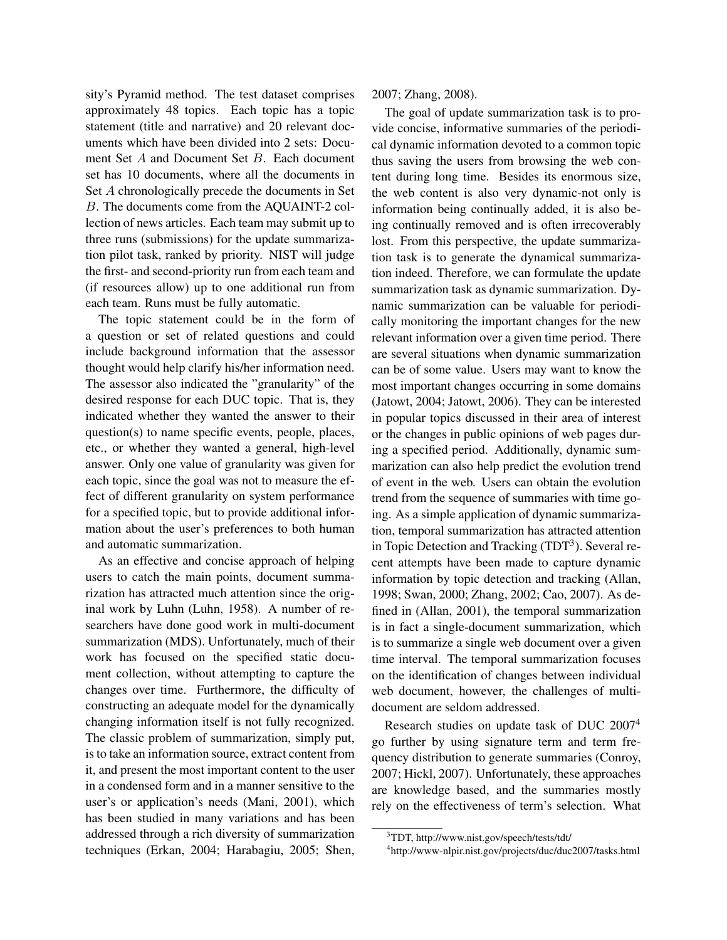sity's Pyramid method. The test dataset comprises approximately 48 topics. Each topic has a topic statement (title and narrative) and 20 relevant documents which have been divided into 2 sets: Document Set A and Document Set B. Each document set has 10 documents, where all the documents in Set A chronologically precede the documents in Set B. The documents come from the AQUAINT-2 collection of news articles. Each team may submit up to three runs (submissions) for the update summarization pilot task, ranked by priority. NIST will judge the first- and second-priority run from each team and (if resources allow) up to one additional run from each team. Runs must be fully automatic.

The topic statement could be in the form of a question or set of related questions and could include background information that the assessor thought would help clarify his/her information need. The assessor also indicated the "granularity" of the desired response for each DUC topic. That is, they indicated whether they wanted the answer to their question(s) to name specific events, people, places, etc., or whether they wanted a general, high-level answer. Only one value of granularity was given for each topic, since the goal was not to measure the effect of different granularity on system performance for a specified topic, but to provide additional information about the user's preferences to both human and automatic summarization.

As an effective and concise approach of helping users to catch the main points, document summarization has attracted much attention since the original work by Luhn (Luhn, 1958). A number of researchers have done good work in multi-document summarization (MDS). Unfortunately, much of their work has focused on the specified static document collection, without attempting to capture the changes over time. Furthermore, the difficulty of constructing an adequate model for the dynamically changing information itself is not fully recognized. The classic problem of summarization, simply put, is to take an information source, extract content from it, and present the most important content to the user in a condensed form and in a manner sensitive to the user's or application's needs (Mani, 2001), which has been studied in many variations and has been addressed through a rich diversity of summarization techniques (Erkan, 2004; Harabagiu, 2005; Shen,

2007; Zhang, 2008).

The goal of update summarization task is to provide concise, informative summaries of the periodical dynamic information devoted to a common topic thus saving the users from browsing the web content during long time. Besides its enormous size, the web content is also very dynamic-not only is information being continually added, it is also being continually removed and is often irrecoverably lost. From this perspective, the update summarization task is to generate the dynamical summarization indeed. Therefore, we can formulate the update summarization task as dynamic summarization. Dynamic summarization can be valuable for periodically monitoring the important changes for the new relevant information over a given time period. There are several situations when dynamic summarization can be of some value. Users may want to know the most important changes occurring in some domains (Jatowt, 2004; Jatowt, 2006). They can be interested in popular topics discussed in their area of interest or the changes in public opinions of web pages during a specified period. Additionally, dynamic summarization can also help predict the evolution trend of event in the web. Users can obtain the evolution trend from the sequence of summaries with time going. As a simple application of dynamic summarization, temporal summarization has attracted attention in Topic Detection and Tracking  $(TDT<sup>3</sup>)$ . Several recent attempts have been made to capture dynamic information by topic detection and tracking (Allan, 1998; Swan, 2000; Zhang, 2002; Cao, 2007). As defined in (Allan, 2001), the temporal summarization is in fact a single-document summarization, which is to summarize a single web document over a given time interval. The temporal summarization focuses on the identification of changes between individual web document, however, the challenges of multidocument are seldom addressed.

Research studies on update task of DUC 2007<sup>4</sup> go further by using signature term and term frequency distribution to generate summaries (Conroy, 2007; Hickl, 2007). Unfortunately, these approaches are knowledge based, and the summaries mostly rely on the effectiveness of term's selection. What

<sup>3</sup>TDT, http://www.nist.gov/speech/tests/tdt/

<sup>4</sup> http://www-nlpir.nist.gov/projects/duc/duc2007/tasks.html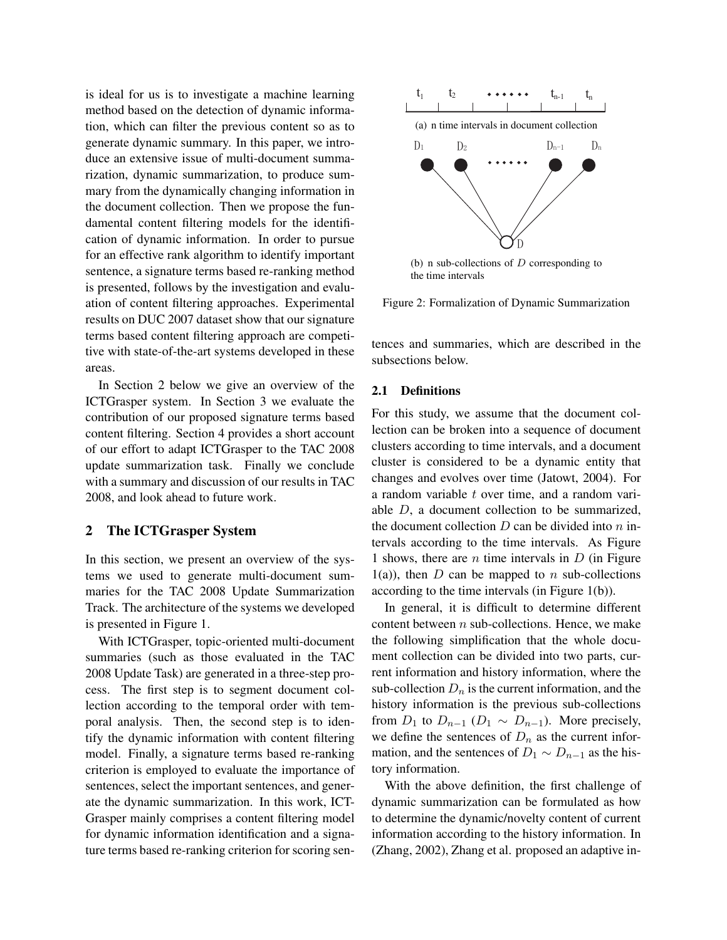is ideal for us is to investigate a machine learning method based on the detection of dynamic information, which can filter the previous content so as to generate dynamic summary. In this paper, we introduce an extensive issue of multi-document summarization, dynamic summarization, to produce summary from the dynamically changing information in the document collection. Then we propose the fundamental content filtering models for the identification of dynamic information. In order to pursue for an effective rank algorithm to identify important sentence, a signature terms based re-ranking method is presented, follows by the investigation and evaluation of content filtering approaches. Experimental results on DUC 2007 dataset show that our signature terms based content filtering approach are competitive with state-of-the-art systems developed in these areas.

In Section 2 below we give an overview of the ICTGrasper system. In Section 3 we evaluate the contribution of our proposed signature terms based content filtering. Section 4 provides a short account of our effort to adapt ICTGrasper to the TAC 2008 update summarization task. Finally we conclude with a summary and discussion of our results in TAC 2008, and look ahead to future work.

#### 2 The ICTGrasper System

In this section, we present an overview of the systems we used to generate multi-document summaries for the TAC 2008 Update Summarization Track. The architecture of the systems we developed is presented in Figure 1.

With ICTGrasper, topic-oriented multi-document summaries (such as those evaluated in the TAC 2008 Update Task) are generated in a three-step process. The first step is to segment document collection according to the temporal order with temporal analysis. Then, the second step is to identify the dynamic information with content filtering model. Finally, a signature terms based re-ranking criterion is employed to evaluate the importance of sentences, select the important sentences, and generate the dynamic summarization. In this work, ICT-Grasper mainly comprises a content filtering model for dynamic information identification and a signature terms based re-ranking criterion for scoring sen-



Figure 2: Formalization of Dynamic Summarization

tences and summaries, which are described in the subsections below.

#### 2.1 Definitions

For this study, we assume that the document collection can be broken into a sequence of document clusters according to time intervals, and a document cluster is considered to be a dynamic entity that changes and evolves over time (Jatowt, 2004). For a random variable t over time, and a random variable D, a document collection to be summarized, the document collection  $D$  can be divided into  $n$  intervals according to the time intervals. As Figure 1 shows, there are  $n$  time intervals in  $D$  (in Figure  $1(a)$ , then D can be mapped to n sub-collections according to the time intervals (in Figure 1(b)).

In general, it is difficult to determine different content between  $n$  sub-collections. Hence, we make the following simplification that the whole document collection can be divided into two parts, current information and history information, where the sub-collection  $D_n$  is the current information, and the history information is the previous sub-collections from  $D_1$  to  $D_{n-1}$  ( $D_1 \sim D_{n-1}$ ). More precisely, we define the sentences of  $D_n$  as the current information, and the sentences of  $D_1 \sim D_{n-1}$  as the history information.

With the above definition, the first challenge of dynamic summarization can be formulated as how to determine the dynamic/novelty content of current information according to the history information. In (Zhang, 2002), Zhang et al. proposed an adaptive in-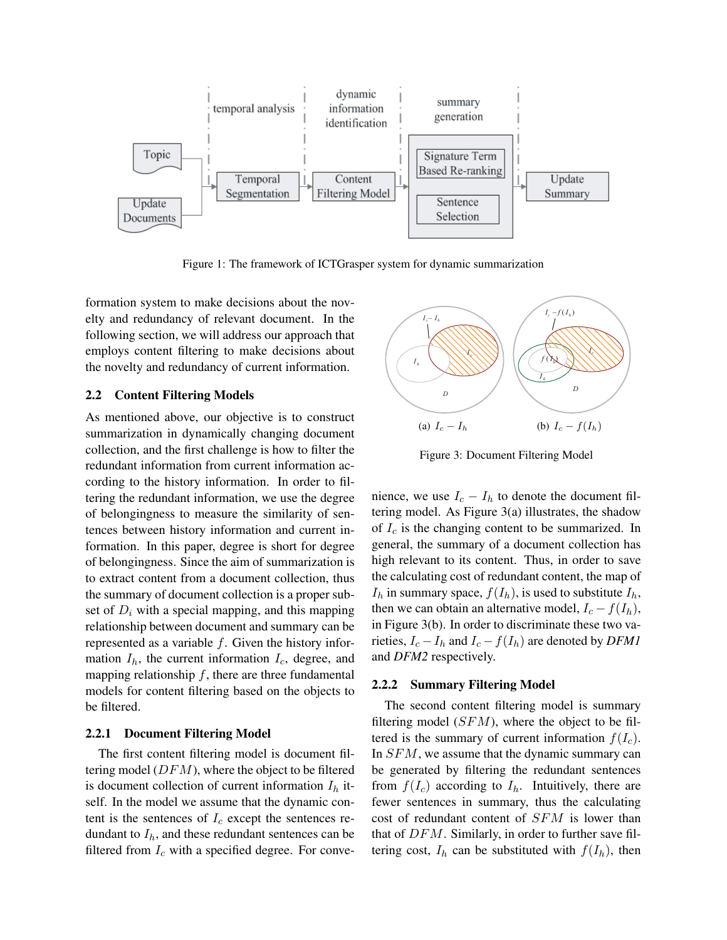

Figure 1: The framework of ICTGrasper system for dynamic summarization

formation system to make decisions about the novelty and redundancy of relevant document. In the following section, we will address our approach that employs content filtering to make decisions about the novelty and redundancy of current information.

#### 2.2 Content Filtering Models

As mentioned above, our objective is to construct summarization in dynamically changing document collection, and the first challenge is how to filter the redundant information from current information according to the history information. In order to filtering the redundant information, we use the degree of belongingness to measure the similarity of sentences between history information and current information. In this paper, degree is short for degree of belongingness. Since the aim of summarization is to extract content from a document collection, thus the summary of document collection is a proper subset of  $D_i$  with a special mapping, and this mapping relationship between document and summary can be represented as a variable  $f$ . Given the history information  $I_h$ , the current information  $I_c$ , degree, and mapping relationship  $f$ , there are three fundamental models for content filtering based on the objects to be filtered.

## 2.2.1 Document Filtering Model

The first content filtering model is document filtering model  $(DFM)$ , where the object to be filtered is document collection of current information  $I_h$  itself. In the model we assume that the dynamic content is the sentences of  $I_c$  except the sentences redundant to  $I<sub>h</sub>$ , and these redundant sentences can be filtered from  $I_c$  with a specified degree. For conve-



Figure 3: Document Filtering Model

nience, we use  $I_c - I_h$  to denote the document filtering model. As Figure 3(a) illustrates, the shadow of  $I_c$  is the changing content to be summarized. In general, the summary of a document collection has high relevant to its content. Thus, in order to save the calculating cost of redundant content, the map of  $I_h$  in summary space,  $f(I_h)$ , is used to substitute  $I_h$ , then we can obtain an alternative model,  $I_c - f(I_h)$ , in Figure 3(b). In order to discriminate these two varieties,  $I_c - I_h$  and  $I_c - f(I_h)$  are denoted by *DFM1* and *DFM2* respectively.

#### 2.2.2 Summary Filtering Model

The second content filtering model is summary filtering model  $(SFM)$ , where the object to be filtered is the summary of current information  $f(I_c)$ . In  $SFM$ , we assume that the dynamic summary can be generated by filtering the redundant sentences from  $f(I_c)$  according to  $I_h$ . Intuitively, there are fewer sentences in summary, thus the calculating cost of redundant content of SFM is lower than that of DFM. Similarly, in order to further save filtering cost,  $I_h$  can be substituted with  $f(I_h)$ , then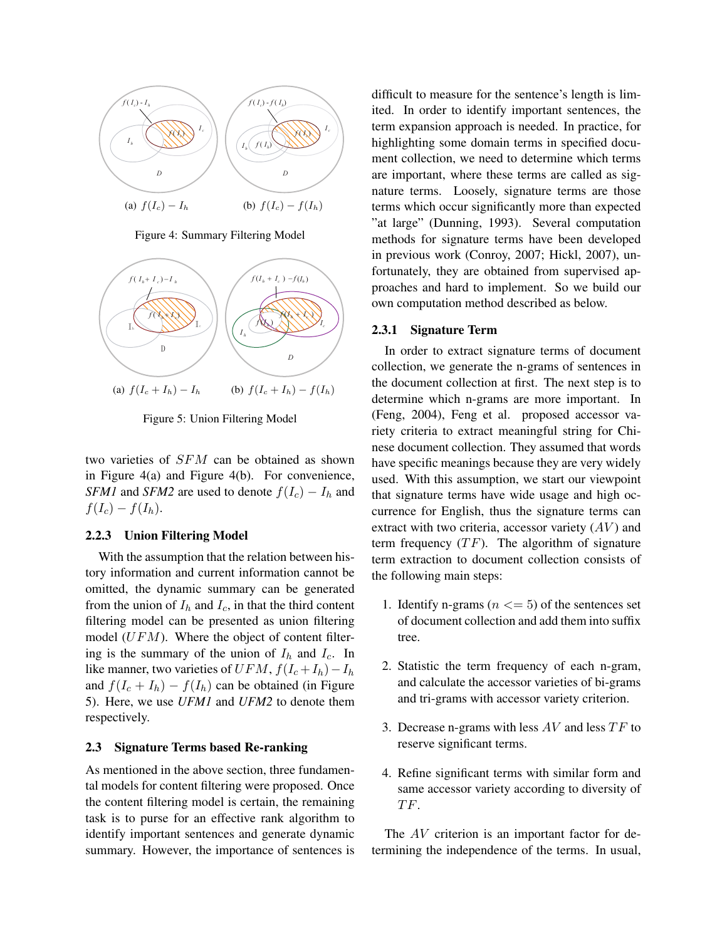

Figure 4: Summary Filtering Model



Figure 5: Union Filtering Model

two varieties of SFM can be obtained as shown in Figure 4(a) and Figure 4(b). For convenience, *SFM1* and *SFM2* are used to denote  $f(I_c) - I_h$  and  $f(I_c) - f(I_h).$ 

#### 2.2.3 Union Filtering Model

With the assumption that the relation between history information and current information cannot be omitted, the dynamic summary can be generated from the union of  $I_h$  and  $I_c$ , in that the third content filtering model can be presented as union filtering model  $(UFM)$ . Where the object of content filtering is the summary of the union of  $I_h$  and  $I_c$ . In like manner, two varieties of  $UFM$ ,  $f(I_c + I_h) - I_h$ and  $f(I_c + I_h) - f(I_h)$  can be obtained (in Figure 5). Here, we use *UFM1* and *UFM2* to denote them respectively.

#### 2.3 Signature Terms based Re-ranking

As mentioned in the above section, three fundamental models for content filtering were proposed. Once the content filtering model is certain, the remaining task is to purse for an effective rank algorithm to identify important sentences and generate dynamic summary. However, the importance of sentences is

difficult to measure for the sentence's length is limited. In order to identify important sentences, the term expansion approach is needed. In practice, for highlighting some domain terms in specified document collection, we need to determine which terms are important, where these terms are called as signature terms. Loosely, signature terms are those terms which occur significantly more than expected "at large" (Dunning, 1993). Several computation methods for signature terms have been developed in previous work (Conroy, 2007; Hickl, 2007), unfortunately, they are obtained from supervised approaches and hard to implement. So we build our own computation method described as below.

#### 2.3.1 Signature Term

In order to extract signature terms of document collection, we generate the n-grams of sentences in the document collection at first. The next step is to determine which n-grams are more important. In (Feng, 2004), Feng et al. proposed accessor variety criteria to extract meaningful string for Chinese document collection. They assumed that words have specific meanings because they are very widely used. With this assumption, we start our viewpoint that signature terms have wide usage and high occurrence for English, thus the signature terms can extract with two criteria, accessor variety  $(AV)$  and term frequency  $(TF)$ . The algorithm of signature term extraction to document collection consists of the following main steps:

- 1. Identify n-grams ( $n \leq 5$ ) of the sentences set of document collection and add them into suffix tree.
- 2. Statistic the term frequency of each n-gram, and calculate the accessor varieties of bi-grams and tri-grams with accessor variety criterion.
- 3. Decrease n-grams with less  $AV$  and less  $TF$  to reserve significant terms.
- 4. Refine significant terms with similar form and same accessor variety according to diversity of TF.

The AV criterion is an important factor for determining the independence of the terms. In usual,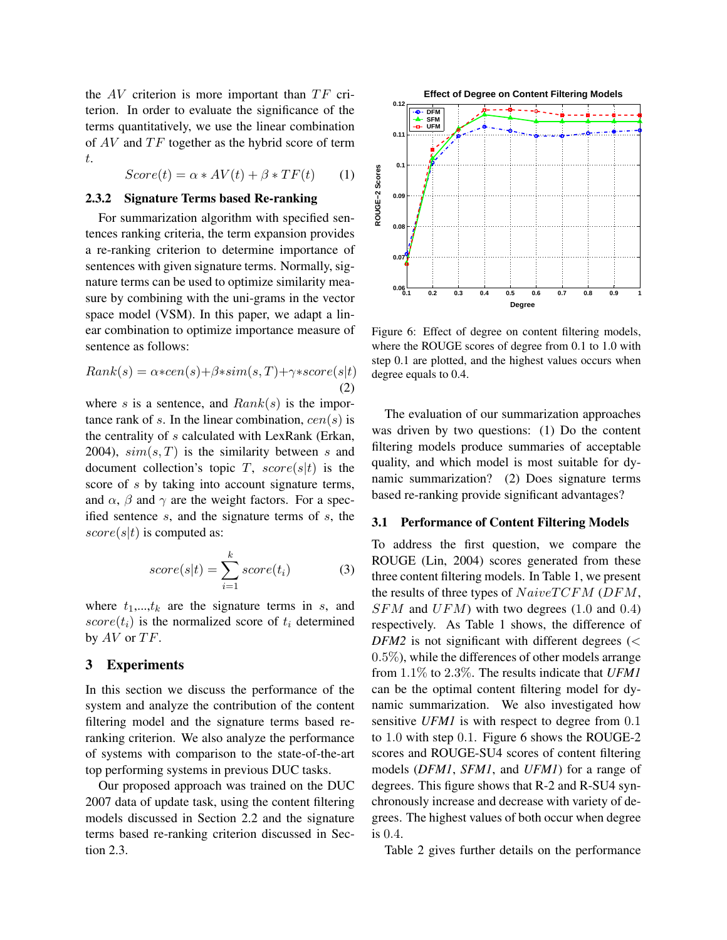the  $AV$  criterion is more important than  $TF$  criterion. In order to evaluate the significance of the terms quantitatively, we use the linear combination of  $AV$  and  $TF$  together as the hybrid score of term t.

$$
Score(t) = \alpha * AV(t) + \beta * TF(t) \tag{1}
$$

#### 2.3.2 Signature Terms based Re-ranking

For summarization algorithm with specified sentences ranking criteria, the term expansion provides a re-ranking criterion to determine importance of sentences with given signature terms. Normally, signature terms can be used to optimize similarity measure by combining with the uni-grams in the vector space model (VSM). In this paper, we adapt a linear combination to optimize importance measure of sentence as follows:

$$
Rank(s) = \alpha * cen(s) + \beta * sim(s, T) + \gamma * score(s|t)
$$
\n(2)

where s is a sentence, and  $Rank(s)$  is the importance rank of s. In the linear combination,  $cen(s)$  is the centrality of s calculated with LexRank (Erkan, 2004),  $sim(s, T)$  is the similarity between s and document collection's topic T,  $score(s|t)$  is the score of s by taking into account signature terms, and  $\alpha$ ,  $\beta$  and  $\gamma$  are the weight factors. For a specified sentence s, and the signature terms of s, the  $score(s|t)$  is computed as:

$$
score(s|t) = \sum_{i=1}^{k} score(t_i)
$$
 (3)

where  $t_1,...,t_k$  are the signature terms in s, and  $score(t_i)$  is the normalized score of  $t_i$  determined by  $AV$  or  $TF$ .

## 3 Experiments

In this section we discuss the performance of the system and analyze the contribution of the content filtering model and the signature terms based reranking criterion. We also analyze the performance of systems with comparison to the state-of-the-art top performing systems in previous DUC tasks.

Our proposed approach was trained on the DUC 2007 data of update task, using the content filtering models discussed in Section 2.2 and the signature terms based re-ranking criterion discussed in Section 2.3.



Figure 6: Effect of degree on content filtering models, where the ROUGE scores of degree from 0.1 to 1.0 with step 0.1 are plotted, and the highest values occurs when degree equals to 0.4.

The evaluation of our summarization approaches was driven by two questions: (1) Do the content filtering models produce summaries of acceptable quality, and which model is most suitable for dynamic summarization? (2) Does signature terms based re-ranking provide significant advantages?

#### 3.1 Performance of Content Filtering Models

To address the first question, we compare the ROUGE (Lin, 2004) scores generated from these three content filtering models. In Table 1, we present the results of three types of  $NaiveTCFM$  ( $DFM$ ,  $SFM$  and  $UFM$ ) with two degrees (1.0 and 0.4) respectively. As Table 1 shows, the difference of  $DFM2$  is not significant with different degrees ( $\lt$  $0.5\%$ ), while the differences of other models arrange from 1.1% to 2.3%. The results indicate that *UFM1* can be the optimal content filtering model for dynamic summarization. We also investigated how sensitive *UFM1* is with respect to degree from 0.1 to 1.0 with step 0.1. Figure 6 shows the ROUGE-2 scores and ROUGE-SU4 scores of content filtering models (*DFM1*, *SFM1*, and *UFM1*) for a range of degrees. This figure shows that R-2 and R-SU4 synchronously increase and decrease with variety of degrees. The highest values of both occur when degree is 0.4.

Table 2 gives further details on the performance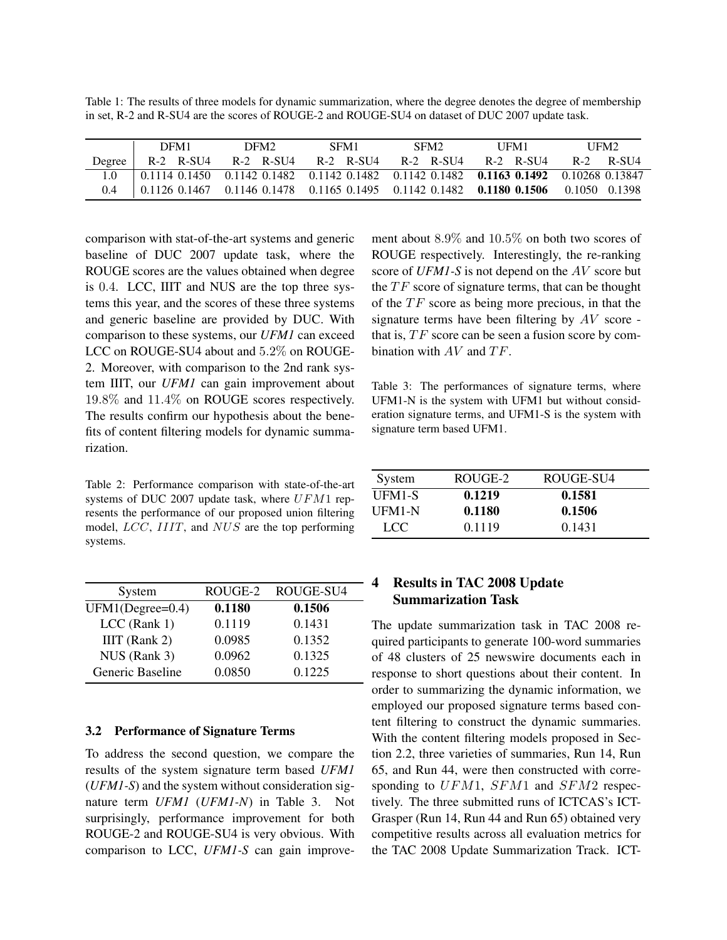Table 1: The results of three models for dynamic summarization, where the degree denotes the degree of membership in set, R-2 and R-SU4 are the scores of ROUGE-2 and ROUGE-SU4 on dataset of DUC 2007 update task.

|        | DFM1      | DFM <sub>2</sub> | SFM1                          | SFM <sub>2</sub> | UFM1      | UFM <sub>2</sub>                                                                                                        |
|--------|-----------|------------------|-------------------------------|------------------|-----------|-------------------------------------------------------------------------------------------------------------------------|
| Degree | R-2 R-SU4 |                  | R-2 R-SU4 R-2 R-SU4 R-2 R-SU4 |                  | R-2 R-SU4 | $R-2$ $R-SU4$                                                                                                           |
|        |           |                  |                               |                  |           | $0.1114$ $0.1450$ $0.1142$ $0.1482$ $0.1142$ $0.1482$ $0.1142$ $0.1482$ $0.11482$ $0.1063$ $0.1492$ $0.10268$ $0.13847$ |
|        |           |                  |                               |                  |           | 0.1126 0.1467 0.1146 0.1478 0.1165 0.1495 0.1142 0.1482 0.1180 0.1506 0.1050 0.1398                                     |

comparison with stat-of-the-art systems and generic baseline of DUC 2007 update task, where the ROUGE scores are the values obtained when degree is 0.4. LCC, IIIT and NUS are the top three systems this year, and the scores of these three systems and generic baseline are provided by DUC. With comparison to these systems, our *UFM1* can exceed LCC on ROUGE-SU4 about and 5.2% on ROUGE-2. Moreover, with comparison to the 2nd rank system IIIT, our *UFM1* can gain improvement about 19.8% and 11.4% on ROUGE scores respectively. The results confirm our hypothesis about the benefits of content filtering models for dynamic summarization.

Table 2: Performance comparison with state-of-the-art systems of DUC 2007 update task, where UFM1 represents the performance of our proposed union filtering model, LCC, IIIT, and NUS are the top performing systems.

| ROUGE-2 | ROUGE-SU4 |
|---------|-----------|
| 0.1180  | 0.1506    |
| 0.1119  | 0.1431    |
| 0.0985  | 0.1352    |
| 0.0962  | 0.1325    |
| 0.0850  | 0.1225    |
|         |           |

#### 3.2 Performance of Signature Terms

To address the second question, we compare the results of the system signature term based *UFM1* (*UFM1-S*) and the system without consideration signature term *UFM1* (*UFM1-N*) in Table 3. Not surprisingly, performance improvement for both ROUGE-2 and ROUGE-SU4 is very obvious. With comparison to LCC, *UFM1-S* can gain improvement about 8.9% and 10.5% on both two scores of ROUGE respectively. Interestingly, the re-ranking score of *UFM1-S* is not depend on the AV score but the  $TF$  score of signature terms, that can be thought of the  $TF$  score as being more precious, in that the signature terms have been filtering by  $AV$  score that is,  $TF$  score can be seen a fusion score by combination with  $AV$  and  $TF$ .

Table 3: The performances of signature terms, where UFM1-N is the system with UFM1 but without consideration signature terms, and UFM1-S is the system with signature term based UFM1.

| System | ROUGE-2 | ROUGE-SU4 |
|--------|---------|-----------|
| UFM1-S | 0.1219  | 0.1581    |
| UFM1-N | 0.1180  | 0.1506    |
| LCC.   | 0.1119  | 0.1431    |

## 4 Results in TAC 2008 Update Summarization Task

The update summarization task in TAC 2008 required participants to generate 100-word summaries of 48 clusters of 25 newswire documents each in response to short questions about their content. In order to summarizing the dynamic information, we employed our proposed signature terms based content filtering to construct the dynamic summaries. With the content filtering models proposed in Section 2.2, three varieties of summaries, Run 14, Run 65, and Run 44, were then constructed with corresponding to UFM1, SFM1 and SFM2 respectively. The three submitted runs of ICTCAS's ICT-Grasper (Run 14, Run 44 and Run 65) obtained very competitive results across all evaluation metrics for the TAC 2008 Update Summarization Track. ICT-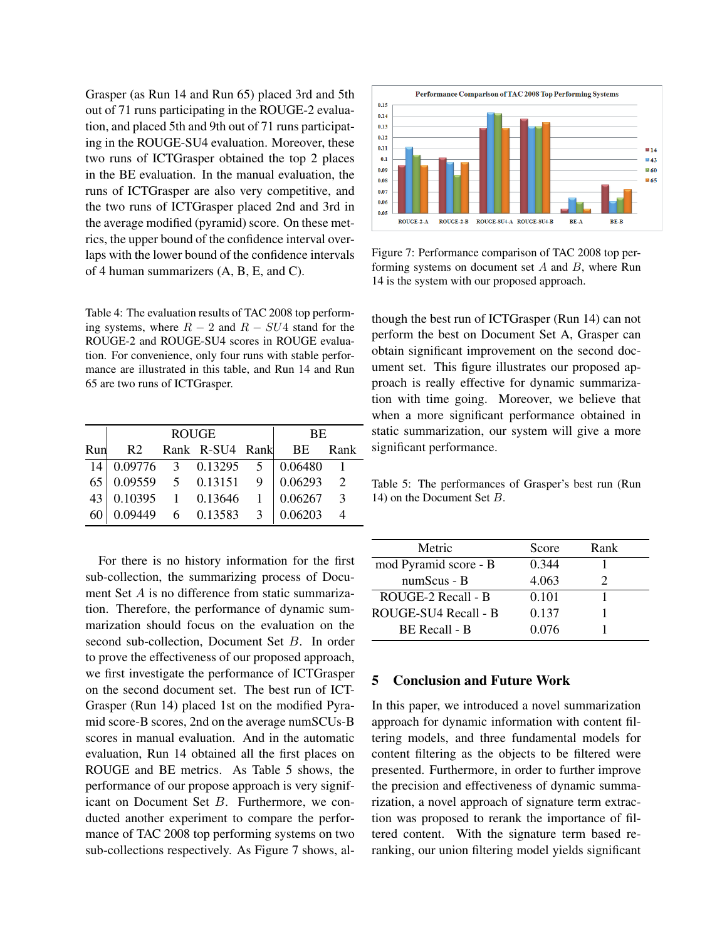Grasper (as Run 14 and Run 65) placed 3rd and 5th out of 71 runs participating in the ROUGE-2 evaluation, and placed 5th and 9th out of 71 runs participating in the ROUGE-SU4 evaluation. Moreover, these two runs of ICTGrasper obtained the top 2 places in the BE evaluation. In the manual evaluation, the runs of ICTGrasper are also very competitive, and the two runs of ICTGrasper placed 2nd and 3rd in the average modified (pyramid) score. On these metrics, the upper bound of the confidence interval overlaps with the lower bound of the confidence intervals of 4 human summarizers (A, B, E, and C).

Table 4: The evaluation results of TAC 2008 top performing systems, where  $R - 2$  and  $R - SU4$  stand for the ROUGE-2 and ROUGE-SU4 scores in ROUGE evaluation. For convenience, only four runs with stable performance are illustrated in this table, and Run 14 and Run 65 are two runs of ICTGrasper.

|     | <b>ROUGE</b>                                            |  |                 |               | <b>BE</b> |               |
|-----|---------------------------------------------------------|--|-----------------|---------------|-----------|---------------|
| Run | R2                                                      |  | Rank R-SU4 Rank |               | BE        | Rank          |
| 14  | $0.09776$ 3 $0.13295$ 5                                 |  |                 |               | 0.06480   |               |
| 65  | $\begin{array}{cccc} 0.09559 & 5 & 0.13151 \end{array}$ |  |                 | 9             | 0.06293   | $\mathcal{D}$ |
| 43  | 0.10395                                                 |  | 1 0.13646       |               | 0.06267   | $\mathcal{R}$ |
| 60  | 0.09449                                                 |  | 6 0.13583       | $\mathcal{R}$ | 0.06203   |               |

For there is no history information for the first sub-collection, the summarizing process of Document Set A is no difference from static summarization. Therefore, the performance of dynamic summarization should focus on the evaluation on the second sub-collection, Document Set B. In order to prove the effectiveness of our proposed approach, we first investigate the performance of ICTGrasper on the second document set. The best run of ICT-Grasper (Run 14) placed 1st on the modified Pyramid score-B scores, 2nd on the average numSCUs-B scores in manual evaluation. And in the automatic evaluation, Run 14 obtained all the first places on ROUGE and BE metrics. As Table 5 shows, the performance of our propose approach is very significant on Document Set B. Furthermore, we conducted another experiment to compare the performance of TAC 2008 top performing systems on two sub-collections respectively. As Figure 7 shows, al-



Figure 7: Performance comparison of TAC 2008 top performing systems on document set  $A$  and  $B$ , where Run 14 is the system with our proposed approach.

though the best run of ICTGrasper (Run 14) can not perform the best on Document Set A, Grasper can obtain significant improvement on the second document set. This figure illustrates our proposed approach is really effective for dynamic summarization with time going. Moreover, we believe that when a more significant performance obtained in static summarization, our system will give a more significant performance.

Table 5: The performances of Grasper's best run (Run 14) on the Document Set B.

| Metric                | Score | Rank |  |
|-----------------------|-------|------|--|
| mod Pyramid score - B | 0.344 |      |  |
| numScus - B           | 4.063 |      |  |
| ROUGE-2 Recall - B    | 0.101 |      |  |
| ROUGE-SU4 Recall - B  | 0.137 |      |  |
| <b>BE</b> Recall - B  | 0.076 |      |  |
|                       |       |      |  |

## 5 Conclusion and Future Work

In this paper, we introduced a novel summarization approach for dynamic information with content filtering models, and three fundamental models for content filtering as the objects to be filtered were presented. Furthermore, in order to further improve the precision and effectiveness of dynamic summarization, a novel approach of signature term extraction was proposed to rerank the importance of filtered content. With the signature term based reranking, our union filtering model yields significant